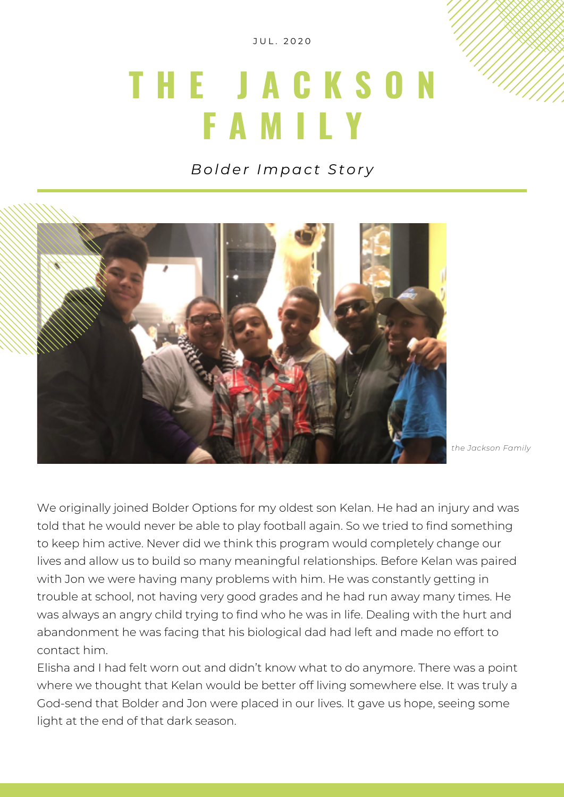J U L . 2 0 2 0

## **T H E J A C K S O N F A M I L Y**

## *Bolder Impac t Stor y*



*the Jackson Family*

We originally joined Bolder Options for my oldest son Kelan. He had an injury and was told that he would never be able to play football again. So we tried to find something to keep him active. Never did we think this program would completely change our lives and allow us to build so many meaningful relationships. Before Kelan was paired with Jon we were having many problems with him. He was constantly getting in trouble at school, not having very good grades and he had run away many times. He was always an angry child trying to find who he was in life. Dealing with the hurt and abandonment he was facing that his biological dad had left and made no effort to contact him.

Elisha and I had felt worn out and didn't know what to do anymore. There was a point where we thought that Kelan would be better off living somewhere else. It was truly a God-send that Bolder and Jon were placed in our lives. It gave us hope, seeing some light at the end of that dark season.